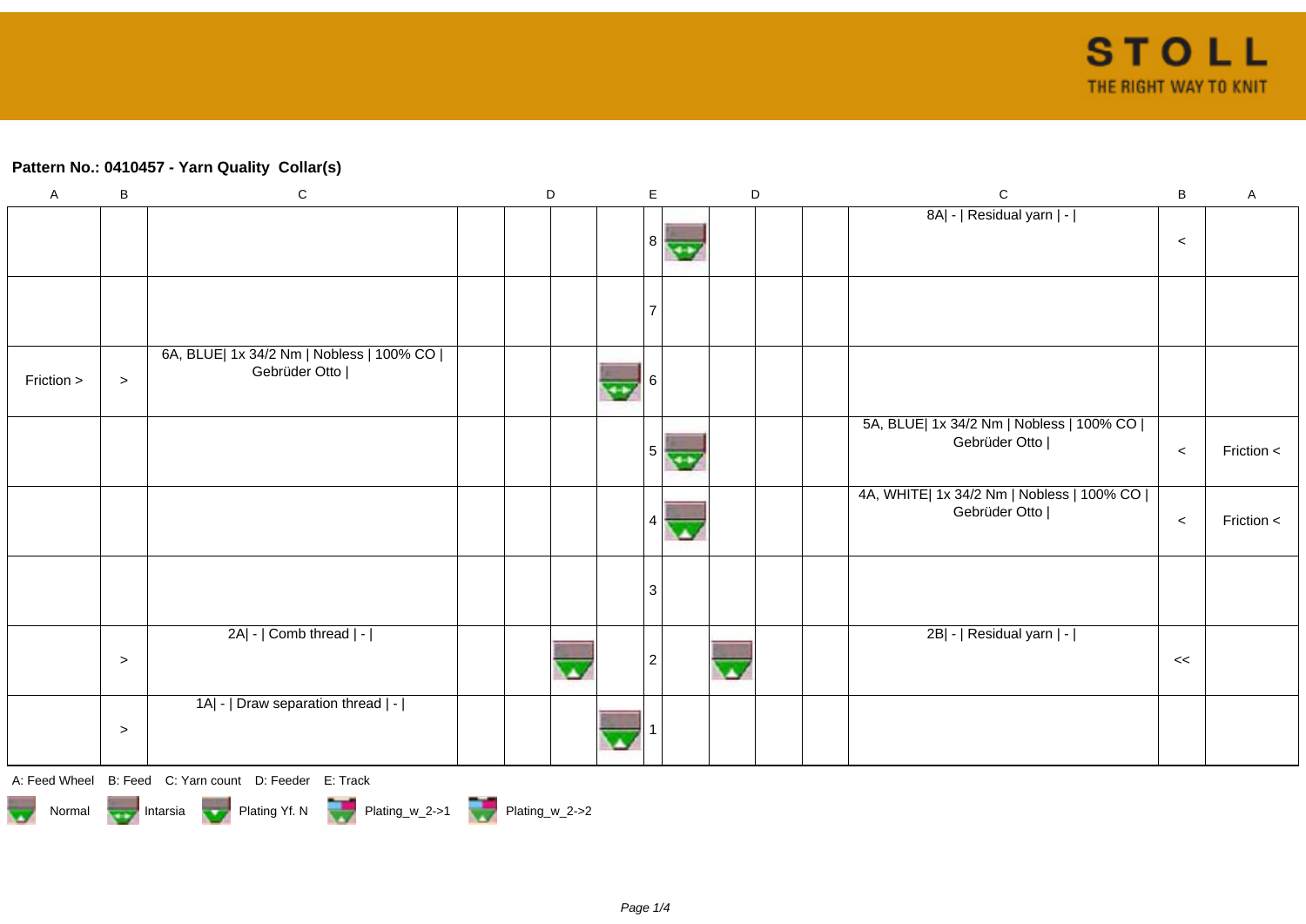## **Pattern No.: 0410457 - Yarn Quality Collar(s)**

| $\mathsf A$ | $\, {\bf B}$ | ${\bf C}$                                                   | $\mathsf D$ |                 | $\mathsf E$    |                | $\mathsf D$ | $\mathbf C$                                                  | $\, {\bf B}$ | $\mathsf A$ |
|-------------|--------------|-------------------------------------------------------------|-------------|-----------------|----------------|----------------|-------------|--------------------------------------------------------------|--------------|-------------|
|             |              |                                                             |             |                 |                |                |             | 8A  -   Residual yarn   -                                    |              |             |
|             |              |                                                             |             |                 | 8 <sub>o</sub> | $\overline{1}$ |             |                                                              | $\prec$      |             |
|             |              |                                                             |             |                 |                |                |             |                                                              |              |             |
|             |              |                                                             |             |                 |                |                |             |                                                              |              |             |
| Friction >  | $\,>$        | 6A, BLUE  1x 34/2 Nm   Nobless   100% CO  <br>Gebrüder Otto |             | $\overline{48}$ | 6              |                |             |                                                              |              |             |
|             |              |                                                             |             |                 | 5              | $\overline{ }$ |             | 5A, BLUE  1x 34/2 Nm   Nobless   100% CO  <br>Gebrüder Otto  | $\,<\,$      | Friction <  |
|             |              |                                                             |             |                 |                |                |             | 4A, WHITE  1x 34/2 Nm   Nobless   100% CO  <br>Gebrüder Otto | $\,<\,$      | Friction <  |
|             |              |                                                             |             |                 | $\mathbf{3}$   |                |             |                                                              |              |             |
|             | $\,>$        | 2A  -   Comb thread   -                                     |             |                 | 2              |                |             | 2B  -   Residual yarn   -                                    | <<           |             |
|             | $\,>$        | 1A  -   Draw separation thread   -                          |             |                 |                |                |             |                                                              |              |             |
|             |              | A: Feed Wheel B: Feed C: Yarn count D: Feeder E: Track      |             |                 |                |                |             |                                                              |              |             |

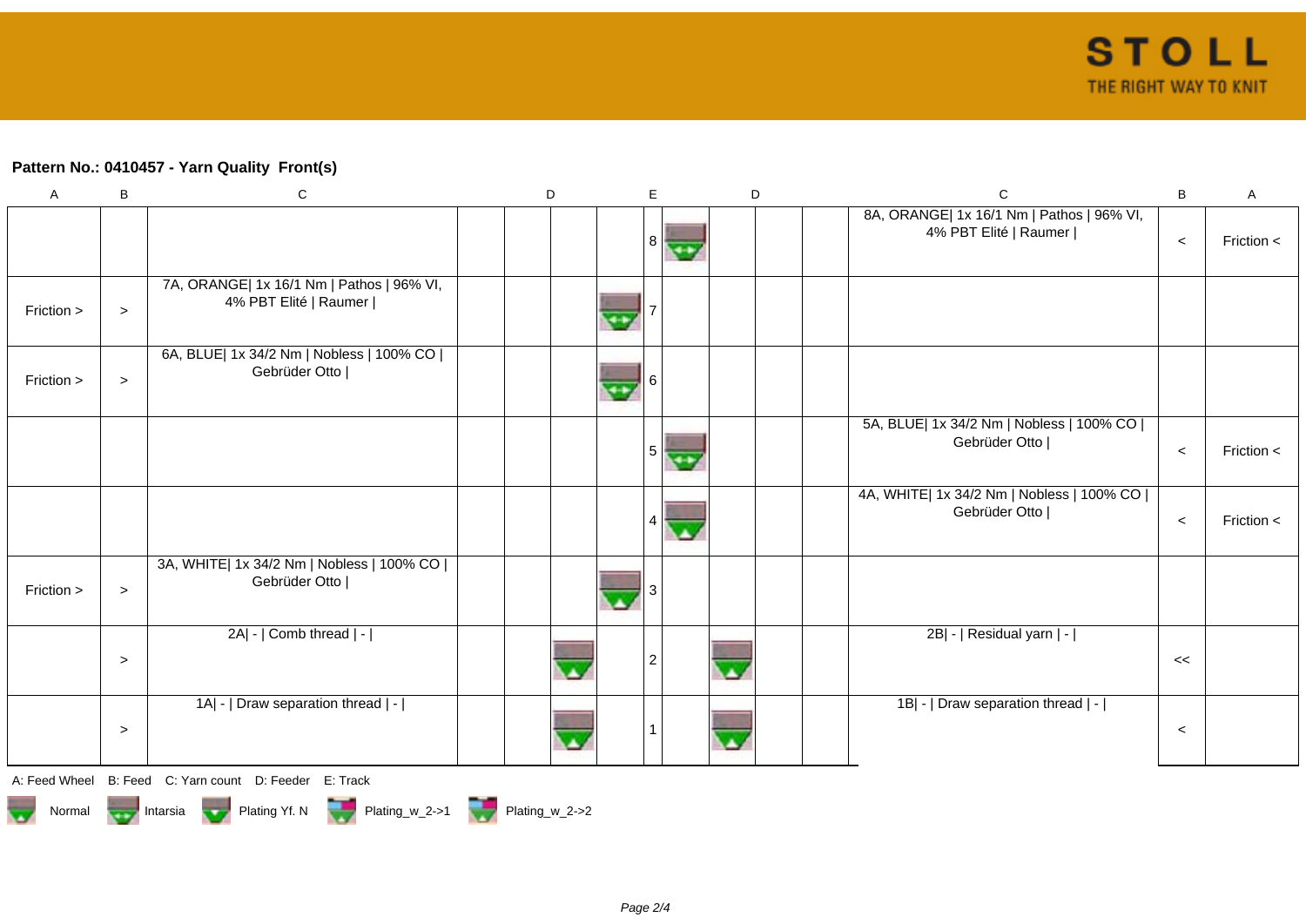## **Pattern No.: 0410457 - Yarn Quality Front(s)**

| $\mathsf{A}$ | B      | $\mathbf C$                                                        | D |                | E.             |      | D |  | $\mathbf C$                                                        | B     | Α            |
|--------------|--------|--------------------------------------------------------------------|---|----------------|----------------|------|---|--|--------------------------------------------------------------------|-------|--------------|
|              |        |                                                                    |   |                | 8 <sup>1</sup> | ونهر |   |  | 8A, ORANGE  1x 16/1 Nm   Pathos   96% VI,<br>4% PBT Elité   Raumer | $\,<$ | Friction $<$ |
| Friction >   | $\,>$  | 7A, ORANGE  1x 16/1 Nm   Pathos   96% VI,<br>4% PBT Elité   Raumer |   |                |                |      |   |  |                                                                    |       |              |
| Friction >   | $\geq$ | 6A, BLUE  1x 34/2 Nm   Nobless   100% CO  <br>Gebrüder Otto        |   | $\overline{ }$ | 6              |      |   |  |                                                                    |       |              |
|              |        |                                                                    |   |                | 5              |      |   |  | 5A, BLUE  1x 34/2 Nm   Nobless   100% CO  <br>Gebrüder Otto        | $\,<$ | Friction $<$ |
|              |        |                                                                    |   |                |                |      |   |  | 4A, WHITE  1x 34/2 Nm   Nobless   100% CO  <br>Gebrüder Otto       | $\,<$ | Friction <   |
| Friction >   | $\geq$ | 3A, WHITE  1x 34/2 Nm   Nobless   100% CO  <br>Gebrüder Otto       |   |                |                |      |   |  |                                                                    |       |              |
|              | $\geq$ | 2A  -   Comb thread   -                                            |   |                | $\overline{2}$ |      |   |  | 2B  -   Residual yarn   -                                          | <<    |              |
|              | $\geq$ | 1A  -   Draw separation thread   -                                 |   |                |                |      |   |  | 1B  -   Draw separation thread   -                                 | $\,<$ |              |
|              |        | A: Feed Wheel B: Feed C: Yarn count D: Feeder E: Track             |   |                |                |      |   |  |                                                                    |       |              |

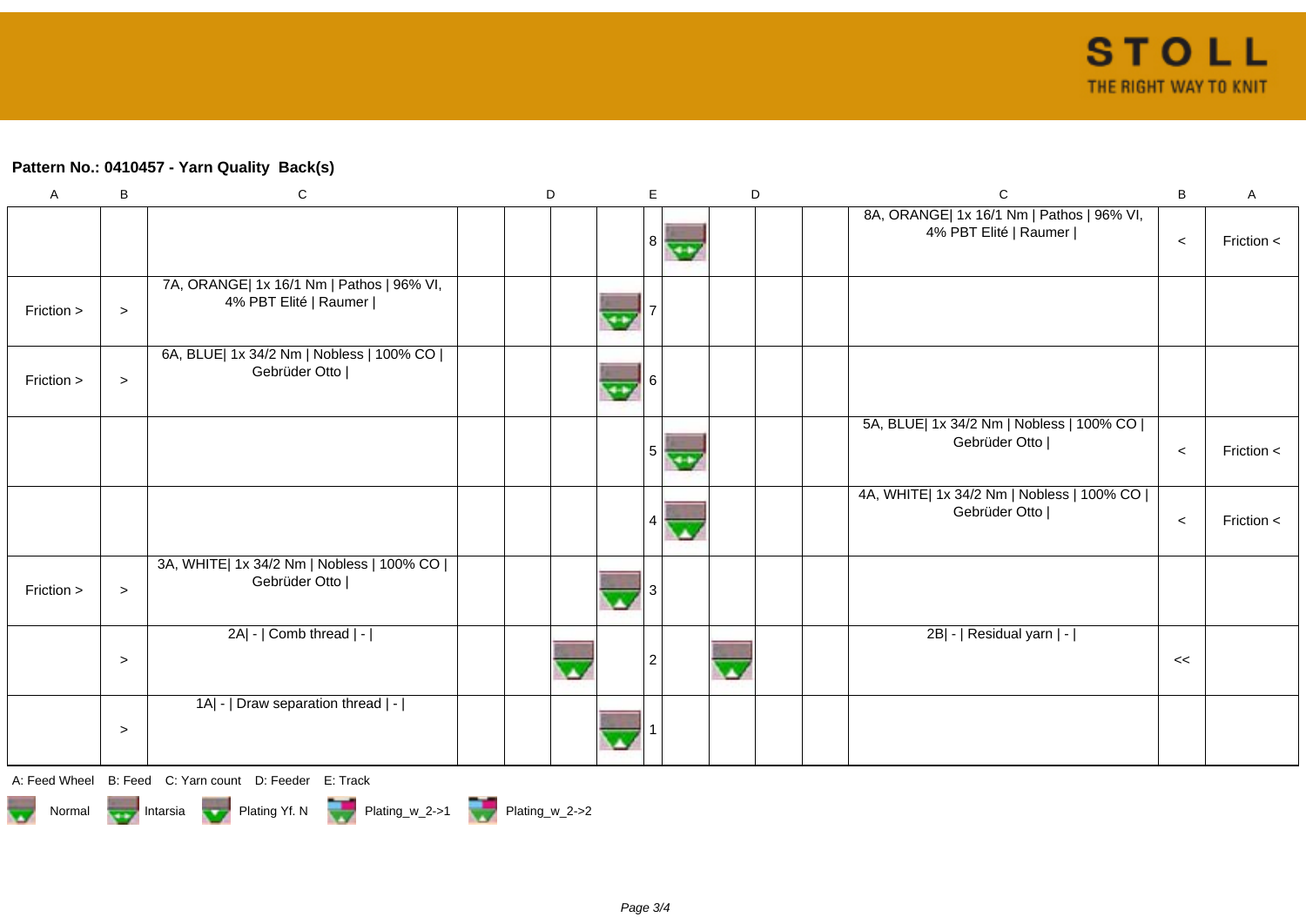## **Pattern No.: 0410457 - Yarn Quality Back(s)**

| $\mathsf{A}$ | B      | $\mathsf C$                                                        | D | E              |      | D |  | $\mathbf C$                                                        | $\sf B$ | A            |
|--------------|--------|--------------------------------------------------------------------|---|----------------|------|---|--|--------------------------------------------------------------------|---------|--------------|
|              |        |                                                                    |   | 8 <sup>1</sup> | $-1$ |   |  | 8A, ORANGE  1x 16/1 Nm   Pathos   96% VI,<br>4% PBT Elité   Raumer | $\,<$   | Friction <   |
| Friction >   | $\geq$ | 7A, ORANGE  1x 16/1 Nm   Pathos   96% VI,<br>4% PBT Elité   Raumer |   |                |      |   |  |                                                                    |         |              |
| Friction >   | $\geq$ | 6A, BLUE  1x 34/2 Nm   Nobless   100% CO  <br>Gebrüder Otto        |   | 6              |      |   |  |                                                                    |         |              |
|              |        |                                                                    |   | 5 <sup>1</sup> |      |   |  | 5A, BLUE  1x 34/2 Nm   Nobless   100% CO  <br>Gebrüder Otto        | $\,<$   | Friction <   |
|              |        |                                                                    |   |                |      |   |  | 4A, WHITE  1x 34/2 Nm   Nobless   100% CO  <br>Gebrüder Otto       | $\,<$   | Friction $<$ |
| Friction >   | $\geq$ | 3A, WHITE  1x 34/2 Nm   Nobless   100% CO  <br>Gebrüder Otto       |   |                |      |   |  |                                                                    |         |              |
|              | $\geq$ | 2A  -   Comb thread   -                                            |   | $\overline{2}$ |      |   |  | 2B  -   Residual yarn   -                                          | <<      |              |
|              | $\geq$ | 1A  -   Draw separation thread   -                                 |   |                |      |   |  |                                                                    |         |              |

A: Feed Wheel B: Feed C: Yarn count D: Feeder E: Track